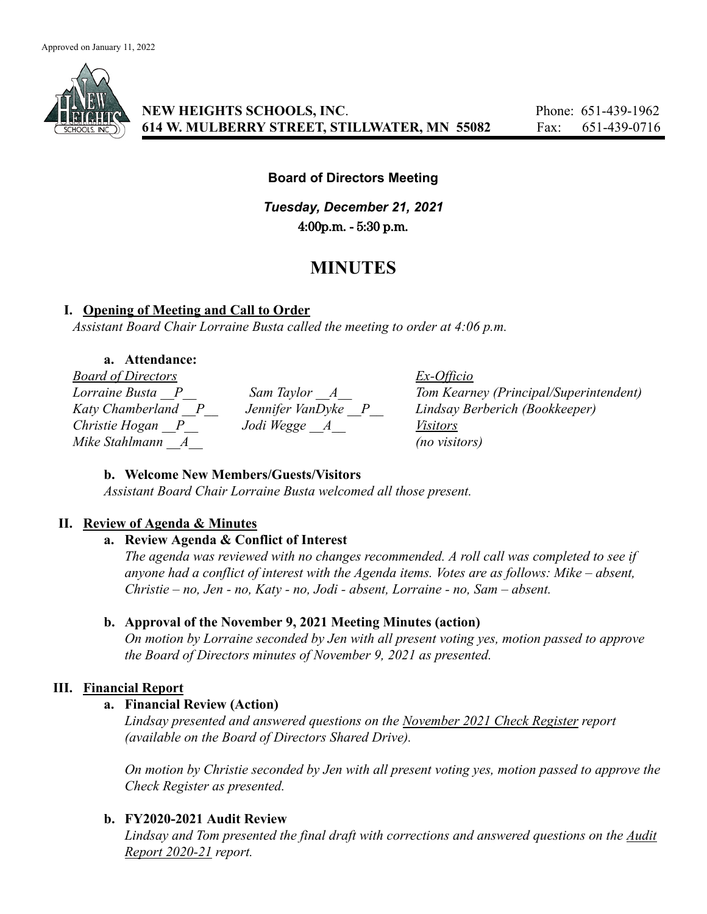

# **Board of Directors Meeting**

*Tuesday, December 21, 2021* 4:00p.m. - 5:30 p.m.

# **MINUTES**

# **I. Opening of Meeting and Call to Order**

*Assistant Board Chair Lorraine Busta called the meeting to order at 4:06 p.m.*

## **a. Attendance:**

*Board of Directors Ex-Officio Mike Stahlmann \_\_A\_\_ (no visitors)*

*Christie Hogan \_\_P\_\_ Jodi Wegge \_\_A\_\_ Visitors*

*Lorraine Busta \_\_P\_\_ Sam Taylor \_\_A\_\_ Tom Kearney (Principal/Superintendent) Katy Chamberland \_\_P\_\_ Jennifer VanDyke \_\_P\_\_ Lindsay Berberich (Bookkeeper)*

# **b. Welcome New Members/Guests/Visitors**

*Assistant Board Chair Lorraine Busta welcomed all those present.*

# **II. Review of Agenda & Minutes**

# **a. Review Agenda & Conflict of Interest**

*The agenda was reviewed with no changes recommended. A roll call was completed to see if anyone had a conflict of interest with the Agenda items. Votes are as follows: Mike – absent, Christie – no, Jen - no, Katy - no, Jodi - absent, Lorraine - no, Sam – absent.*

# **b. Approval of the November 9, 2021 Meeting Minutes (action)**

*On motion by Lorraine seconded by Jen with all present voting yes, motion passed to approve the Board of Directors minutes of November 9, 2021 as presented.*

# **III. Financial Report**

# **a. Financial Review (Action)**

*Lindsay presented and answered questions on the November 2021 Check Register report (available on the Board of Directors Shared Drive).*

*On motion by Christie seconded by Jen with all present voting yes, motion passed to approve the Check Register as presented.*

# **b. FY2020-2021 Audit Review**

*Lindsay and Tom presented the final draft with corrections and answered questions on the Audit Report 2020-21 report.*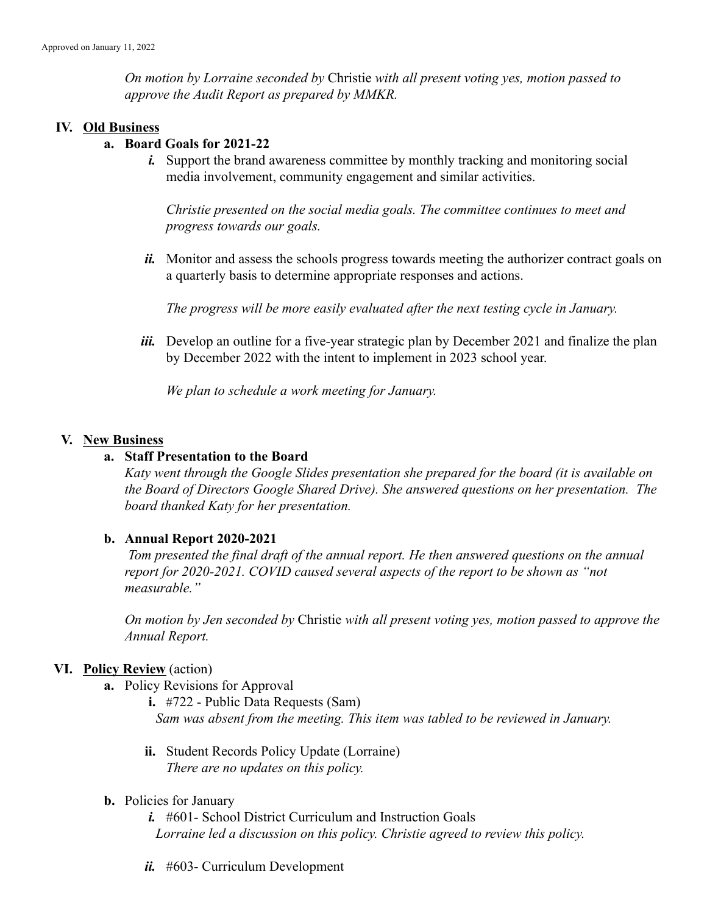*On motion by Lorraine seconded by* Christie *with all present voting yes, motion passed to approve the Audit Report as prepared by MMKR.*

#### **IV. Old Business**

#### **a. Board Goals for 2021-22**

*i.* Support the brand awareness committee by monthly tracking and monitoring social media involvement, community engagement and similar activities.

*Christie presented on the social media goals. The committee continues to meet and progress towards our goals.*

*ii.* Monitor and assess the schools progress towards meeting the authorizer contract goals on a quarterly basis to determine appropriate responses and actions.

*The progress will be more easily evaluated after the next testing cycle in January.*

*iii.* Develop an outline for a five-year strategic plan by December 2021 and finalize the plan by December 2022 with the intent to implement in 2023 school year.

*We plan to schedule a work meeting for January.*

#### **V. New Business**

#### **a. Staff Presentation to the Board**

*Katy went through the Google Slides presentation she prepared for the board (it is available on the Board of Directors Google Shared Drive). She answered questions on her presentation. The board thanked Katy for her presentation.*

#### **b. Annual Report 2020-2021**

*Tom presented the final draft of the annual report. He then answered questions on the annual report for 2020-2021. COVID caused several aspects of the report to be shown as "not measurable."*

*On motion by Jen seconded by* Christie *with all present voting yes, motion passed to approve the Annual Report.*

#### **VI. Policy Review** (action)

**a.** Policy Revisions for Approval

**i.** #722 - Public Data Requests (Sam) *Sam was absent from the meeting. This item was tabled to be reviewed in January.*

- **ii.** Student Records Policy Update (Lorraine) *There are no updates on this policy.*
- **b.** Policies for January

*i.* #601- School District Curriculum and Instruction Goals *Lorraine led a discussion on this policy. Christie agreed to review this policy.*

*ii.* #603- Curriculum Development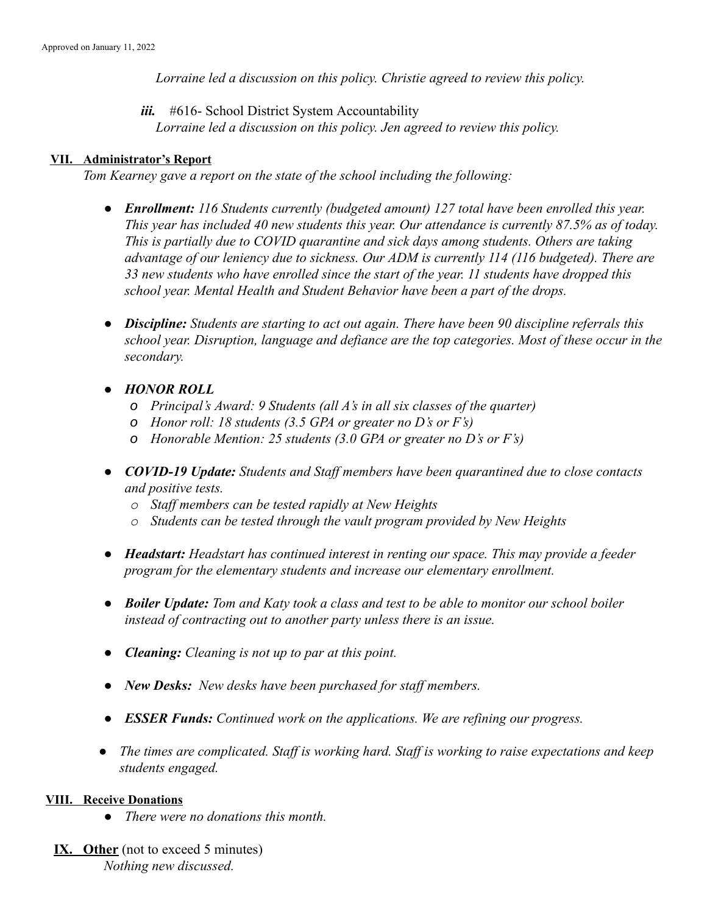*Lorraine led a discussion on this policy. Christie agreed to review this policy.*

*iii.* #616- School District System Accountability

*Lorraine led a discussion on this policy. Jen agreed to review this policy.*

#### **VII. Administrator's Report**

*Tom Kearney gave a report on the state of the school including the following:*

- *● Enrollment: 116 Students currently (budgeted amount) 127 total have been enrolled this year. This year has included 40 new students this year. Our attendance is currently 87.5% as of today. This is partially due to COVID quarantine and sick days among students. Others are taking advantage of our leniency due to sickness. Our ADM is currently 114 (116 budgeted). There are 33 new students who have enrolled since the start of the year. 11 students have dropped this school year. Mental Health and Student Behavior have been a part of the drops.*
- *● Discipline: Students are starting to act out again. There have been 90 discipline referrals this school year. Disruption, language and defiance are the top categories. Most of these occur in the secondary.*
- *● HONOR ROLL*
	- *o Principal's Award: 9 Students (all A's in all six classes of the quarter)*
	- *o Honor roll: 18 students (3.5 GPA or greater no D's or F's)*
	- *o Honorable Mention: 25 students (3.0 GPA or greater no D's or F's)*
- *● COVID-19 Update: Students and Staff members have been quarantined due to close contacts and positive tests.*
	- *o Staff members can be tested rapidly at New Heights*
	- *o Students can be tested through the vault program provided by New Heights*
- *● Headstart: Headstart has continued interest in renting our space. This may provide a feeder program for the elementary students and increase our elementary enrollment.*
- *● Boiler Update: Tom and Katy took a class and test to be able to monitor our school boiler instead of contracting out to another party unless there is an issue.*
- *● Cleaning: Cleaning is not up to par at this point.*
- *● New Desks: New desks have been purchased for staff members.*
- *● ESSER Funds: Continued work on the applications. We are refining our progress.*
- *● The times are complicated. Staff is working hard. Staff is working to raise expectations and keep students engaged.*

#### **VIII. Receive Donations**

- *● There were no donations this month.*
- **IX. Other** (not to exceed 5 minutes) *Nothing new discussed.*